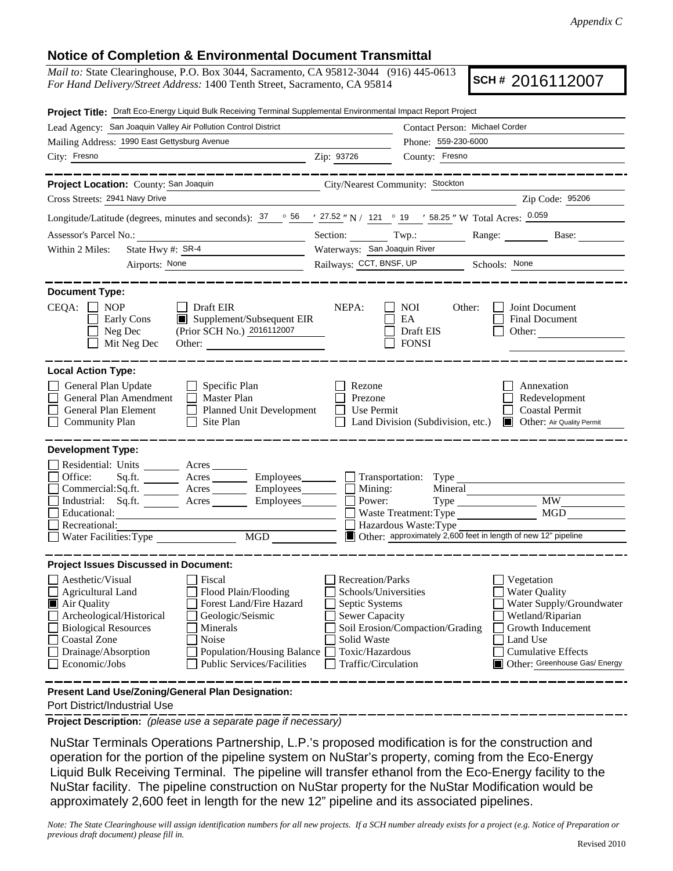## **Notice of Completion & Environmental Document Transmittal**

*Mail to:* State Clearinghouse, P.O. Box 3044, Sacramento, CA 95812-3044 (916) 445-0613 *For Hand Delivery/Street Address:* 1400 Tenth Street, Sacramento, CA 95814

**SCH #** 2016112007

| Project Title: Draft Eco-Energy Liquid Bulk Receiving Terminal Supplemental Environmental Impact Report Project                                                                                                                                                                                                                                                                                                       |                                                                                                                                                                                                                                                                                                                                                               |
|-----------------------------------------------------------------------------------------------------------------------------------------------------------------------------------------------------------------------------------------------------------------------------------------------------------------------------------------------------------------------------------------------------------------------|---------------------------------------------------------------------------------------------------------------------------------------------------------------------------------------------------------------------------------------------------------------------------------------------------------------------------------------------------------------|
| Lead Agency: San Joaquin Valley Air Pollution Control District                                                                                                                                                                                                                                                                                                                                                        | Contact Person: Michael Corder                                                                                                                                                                                                                                                                                                                                |
| Mailing Address: 1990 East Gettysburg Avenue                                                                                                                                                                                                                                                                                                                                                                          | Phone: 559-230-6000                                                                                                                                                                                                                                                                                                                                           |
| City: Fresno                                                                                                                                                                                                                                                                                                                                                                                                          | Zip: 93726<br>County: Fresno                                                                                                                                                                                                                                                                                                                                  |
| Project Location: County: San Joaquin                                                                                                                                                                                                                                                                                                                                                                                 | City/Nearest Community: Stockton                                                                                                                                                                                                                                                                                                                              |
| Cross Streets: 2941 Navy Drive                                                                                                                                                                                                                                                                                                                                                                                        | Zip Code: 95206                                                                                                                                                                                                                                                                                                                                               |
| Longitude/Latitude (degrees, minutes and seconds): $37 \degree$ 56 $\degree$ $27.52 \degree$ N / $121 \degree$ 19 $\degree$ 58.25 " W Total Acres: 0.059                                                                                                                                                                                                                                                              |                                                                                                                                                                                                                                                                                                                                                               |
| Assessor's Parcel No.:                                                                                                                                                                                                                                                                                                                                                                                                | Section: Twp.: Range: Base: Base:                                                                                                                                                                                                                                                                                                                             |
| State Hwy #: SR-4<br>Within 2 Miles:                                                                                                                                                                                                                                                                                                                                                                                  | Waterways: San Joaquin River                                                                                                                                                                                                                                                                                                                                  |
| Airports: None                                                                                                                                                                                                                                                                                                                                                                                                        | Railways: CCT, BNSF, UP Schools: None                                                                                                                                                                                                                                                                                                                         |
| <b>Document Type:</b><br>$CEQA: \Box NP$<br>$\Box$ Draft EIR<br>$\blacksquare$ Supplement/Subsequent EIR<br>Early Cons<br>(Prior SCH No.) 2016112007<br>Neg Dec<br>Mit Neg Dec                                                                                                                                                                                                                                        | NEPA:<br>Joint Document<br><b>NOI</b><br>Other:<br>EA<br><b>Final Document</b><br>Draft EIS<br>Other:<br><b>FONSI</b>                                                                                                                                                                                                                                         |
| <b>Local Action Type:</b><br>General Plan Update<br>$\Box$ Specific Plan<br>General Plan Amendment<br>$\Box$ Master Plan<br>General Plan Element<br>Planned Unit Development<br><b>Community Plan</b><br>Site Plan                                                                                                                                                                                                    | Rezone<br>Annexation<br>Prezone<br>Redevelopment<br>Use Permit<br><b>Coastal Permit</b><br>Land Division (Subdivision, etc.)<br>Other: Air Quality Permit                                                                                                                                                                                                     |
| <b>Development Type:</b><br>Residential: Units ________ Acres ______<br>Office:<br>Commercial:Sq.ft. <u>Acres</u> Acres Employees Commercial:Sq.ft.<br>Industrial: Sq.ft. _______ Acres ________ Employees________ $\Box$                                                                                                                                                                                             | Sq.ft. _________ Acres __________ Employees ________ ___ Transportation: Type _____________________<br>Mining:<br>Mineral<br><b>MW</b><br>Power:                                                                                                                                                                                                              |
| Educational:                                                                                                                                                                                                                                                                                                                                                                                                          | MGD<br>Waste Treatment: Type                                                                                                                                                                                                                                                                                                                                  |
| Recreational:<br>MGD<br>Water Facilities: Type                                                                                                                                                                                                                                                                                                                                                                        | Hazardous Waste: Type<br>Other: approximately 2,600 feet in length of new 12" pipeline                                                                                                                                                                                                                                                                        |
|                                                                                                                                                                                                                                                                                                                                                                                                                       |                                                                                                                                                                                                                                                                                                                                                               |
| <b>Project Issues Discussed in Document:</b><br>Aesthetic/Visual<br>Fiscal<br>$\Box$ Agricultural Land<br>Flood Plain/Flooding<br>Forest Land/Fire Hazard<br>Air Quality<br>Archeological/Historical<br>Geologic/Seismic<br><b>Biological Resources</b><br>Minerals<br>Noise<br><b>Coastal Zone</b><br>Drainage/Absorption<br><b>Population/Housing Balance</b><br>Economic/Jobs<br><b>Public Services/Facilities</b> | Recreation/Parks<br>Vegetation<br>Schools/Universities<br><b>Water Quality</b><br>Septic Systems<br>Water Supply/Groundwater<br>Sewer Capacity<br>Wetland/Riparian<br>Soil Erosion/Compaction/Grading<br>Growth Inducement<br>Solid Waste<br>Land Use<br>Toxic/Hazardous<br><b>Cumulative Effects</b><br>Other: Greenhouse Gas/ Energy<br>Traffic/Circulation |
| Present Land Use/Zoning/General Plan Designation:                                                                                                                                                                                                                                                                                                                                                                     |                                                                                                                                                                                                                                                                                                                                                               |

Port District/Industrial Use

**Project Description:** *(please use a separate page if necessary)*

 NuStar Terminals Operations Partnership, L.P.'s proposed modification is for the construction and operation for the portion of the pipeline system on NuStar's property, coming from the Eco-Energy Liquid Bulk Receiving Terminal. The pipeline will transfer ethanol from the Eco-Energy facility to the NuStar facility. The pipeline construction on NuStar property for the NuStar Modification would be approximately 2,600 feet in length for the new 12" pipeline and its associated pipelines.

*Note: The State Clearinghouse will assign identification numbers for all new projects. If a SCH number already exists for a project (e.g. Notice of Preparation or previous draft document) please fill in.*